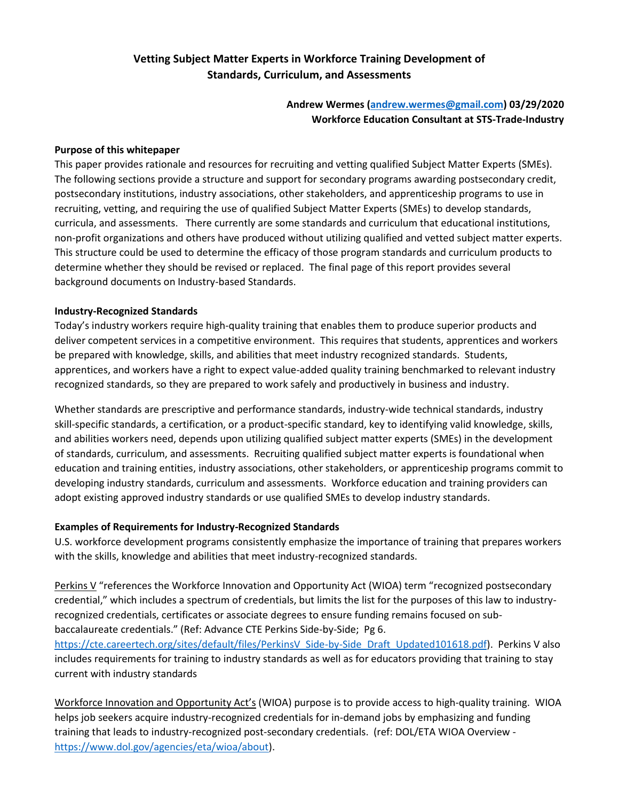# **Vetting Subject Matter Experts in Workforce Training Development of Standards, Curriculum, and Assessments**

**Andrew Wermes [\(andrew.wermes@gmail.com\)](mailto:andrew.wermes@gmail.com) 03/29/2020 Workforce Education Consultant at STS-Trade-Industry**

#### **Purpose of this whitepaper**

This paper provides rationale and resources for recruiting and vetting qualified Subject Matter Experts (SMEs). The following sections provide a structure and support for secondary programs awarding postsecondary credit, postsecondary institutions, industry associations, other stakeholders, and apprenticeship programs to use in recruiting, vetting, and requiring the use of qualified Subject Matter Experts (SMEs) to develop standards, curricula, and assessments. There currently are some standards and curriculum that educational institutions, non-profit organizations and others have produced without utilizing qualified and vetted subject matter experts. This structure could be used to determine the efficacy of those program standards and curriculum products to determine whether they should be revised or replaced. The final page of this report provides several background documents on Industry-based Standards.

#### **Industry-Recognized Standards**

Today's industry workers require high-quality training that enables them to produce superior products and deliver competent services in a competitive environment. This requires that students, apprentices and workers be prepared with knowledge, skills, and abilities that meet industry recognized standards. Students, apprentices, and workers have a right to expect value-added quality training benchmarked to relevant industry recognized standards, so they are prepared to work safely and productively in business and industry.

Whether standards are prescriptive and performance standards, industry-wide technical standards, industry skill-specific standards, a certification, or a product-specific standard, key to identifying valid knowledge, skills, and abilities workers need, depends upon utilizing qualified subject matter experts (SMEs) in the development of standards, curriculum, and assessments. Recruiting qualified subject matter experts is foundational when education and training entities, industry associations, other stakeholders, or apprenticeship programs commit to developing industry standards, curriculum and assessments. Workforce education and training providers can adopt existing approved industry standards or use qualified SMEs to develop industry standards.

#### **Examples of Requirements for Industry-Recognized Standards**

U.S. workforce development programs consistently emphasize the importance of training that prepares workers with the skills, knowledge and abilities that meet industry-recognized standards.

Perkins V "references the Workforce Innovation and Opportunity Act (WIOA) term "recognized postsecondary credential," which includes a spectrum of credentials, but limits the list for the purposes of this law to industryrecognized credentials, certificates or associate degrees to ensure funding remains focused on subbaccalaureate credentials." (Ref: Advance CTE Perkins Side-by-Side; Pg 6.

[https://cte.careertech.org/sites/default/files/PerkinsV\\_Side-by-Side\\_Draft\\_Updated101618.pdf\)](about:blank). Perkins V also includes requirements for training to industry standards as well as for educators providing that training to stay current with industry standards

Workforce Innovation and Opportunity Act's (WIOA) purpose is to provide access to high-quality training. WIOA helps job seekers acquire industry-recognized credentials for in-demand jobs by emphasizing and funding training that leads to industry-recognized post-secondary credentials. (ref: DOL/ETA WIOA Overview [https://www.dol.gov/agencies/eta/wioa/about\)](about:blank).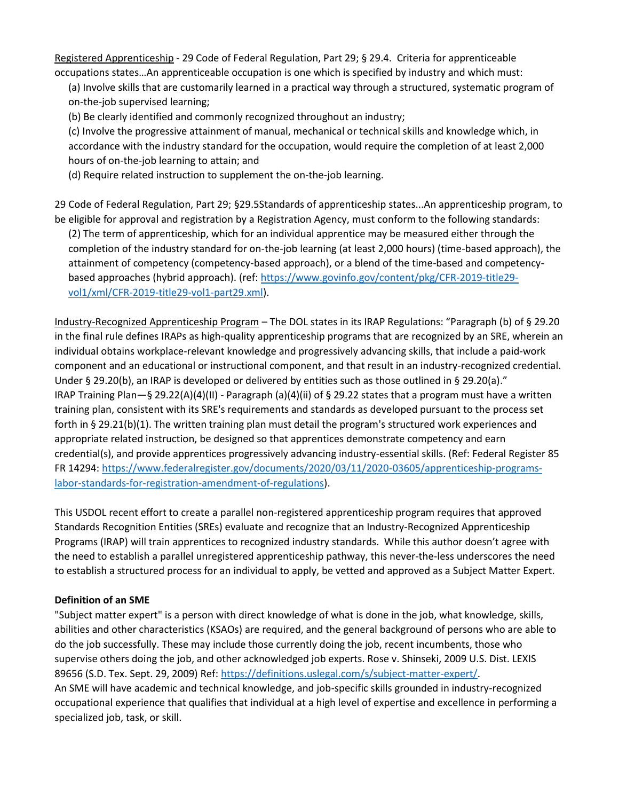Registered Apprenticeship - 29 Code of Federal Regulation, Part 29; § 29.4. Criteria for apprenticeable occupations states…An apprenticeable occupation is one which is specified by industry and which must:

(a) Involve skills that are customarily learned in a practical way through a structured, systematic program of on-the-job supervised learning;

(b) Be clearly identified and commonly recognized throughout an industry;

(c) Involve the progressive attainment of manual, mechanical or technical skills and knowledge which, in accordance with the industry standard for the occupation, would require the completion of at least 2,000 hours of on-the-job learning to attain; and

(d) Require related instruction to supplement the on-the-job learning.

29 Code of Federal Regulation, Part 29; §29.5Standards of apprenticeship states...An apprenticeship program, to be eligible for approval and registration by a Registration Agency, must conform to the following standards: (2) The term of apprenticeship, which for an individual apprentice may be measured either through the completion of the industry standard for on-the-job learning (at least 2,000 hours) (time-based approach), the attainment of competency (competency-based approach), or a blend of the time-based and competencybased approaches (hybrid approach). (ref[: https://www.govinfo.gov/content/pkg/CFR-2019-title29](about:blank) [vol1/xml/CFR-2019-title29-vol1-part29.xml\)](about:blank).

Industry-Recognized Apprenticeship Program – The DOL states in its IRAP Regulations: "Paragraph (b) of § 29.20 in the final rule defines IRAPs as high-quality apprenticeship programs that are recognized by an SRE, wherein an individual obtains workplace-relevant knowledge and progressively advancing skills, that include a paid-work component and an educational or instructional component, and that result in an industry-recognized credential. Under § 29.20(b), an IRAP is developed or delivered by entities such as those outlined in § 29.20(a)." IRAP Training Plan—§ 29.22(A)(4)(II) - Paragraph (a)(4)(ii) of § 29.22 states that a program must have a written training plan, consistent with its SRE's requirements and standards as developed pursuant to the process set forth in § 29.21(b)(1). The written training plan must detail the program's structured work experiences and appropriate related instruction, be designed so that apprentices demonstrate competency and earn credential(s), and provide apprentices progressively advancing industry-essential skills. (Ref: Federal Register 85 FR 14294: [https://www.federalregister.gov/documents/2020/03/11/2020-03605/apprenticeship-programs](https://www.federalregister.gov/documents/2020/03/11/2020-03605/apprenticeship-programs-labor-standards-for-registration-amendment-of-regulations)[labor-standards-for-registration-amendment-of-regulations\)](https://www.federalregister.gov/documents/2020/03/11/2020-03605/apprenticeship-programs-labor-standards-for-registration-amendment-of-regulations).

This USDOL recent effort to create a parallel non-registered apprenticeship program requires that approved Standards Recognition Entities (SREs) evaluate and recognize that an Industry-Recognized Apprenticeship Programs (IRAP) will train apprentices to recognized industry standards. While this author doesn't agree with the need to establish a parallel unregistered apprenticeship pathway, this never-the-less underscores the need to establish a structured process for an individual to apply, be vetted and approved as a Subject Matter Expert.

# **Definition of an SME**

"Subject matter expert" is a person with direct knowledge of what is done in the job, what knowledge, skills, abilities and other characteristics (KSAOs) are required, and the general background of persons who are able to do the job successfully. These may include those currently doing the job, recent incumbents, those who supervise others doing the job, and other acknowledged job experts. Rose v. Shinseki, 2009 U.S. Dist. LEXIS 89656 (S.D. Tex. Sept. 29, 2009) Ref[: https://definitions.uslegal.com/s/subject-matter-expert/.](https://definitions.uslegal.com/s/subject-matter-expert/) An SME will have academic and technical knowledge, and job-specific skills grounded in industry-recognized occupational experience that qualifies that individual at a high level of expertise and excellence in performing a specialized job, task, or skill.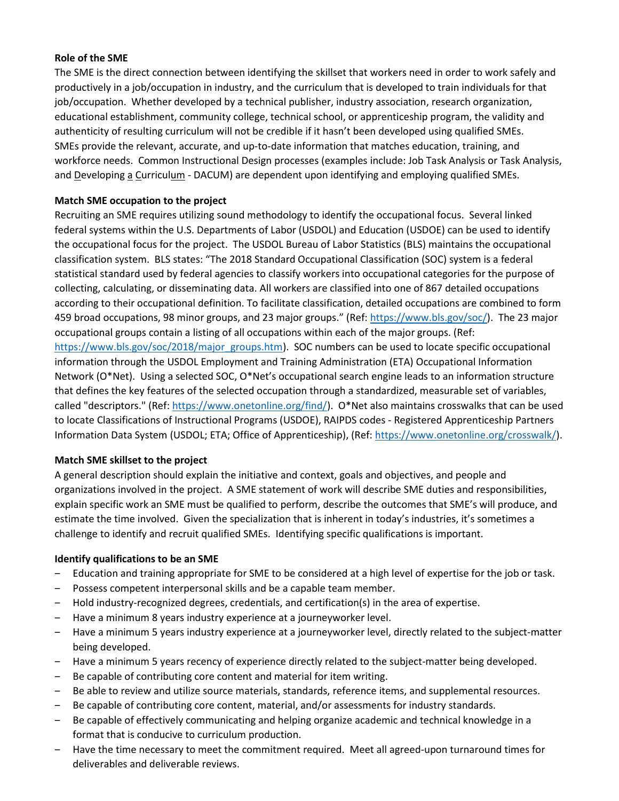### **Role of the SME**

The SME is the direct connection between identifying the skillset that workers need in order to work safely and productively in a job/occupation in industry, and the curriculum that is developed to train individuals for that job/occupation. Whether developed by a technical publisher, industry association, research organization, educational establishment, community college, technical school, or apprenticeship program, the validity and authenticity of resulting curriculum will not be credible if it hasn't been developed using qualified SMEs. SMEs provide the relevant, accurate, and up-to-date information that matches education, training, and workforce needs. Common Instructional Design processes (examples include: Job Task Analysis or Task Analysis, and Developing a Curriculum - DACUM) are dependent upon identifying and employing qualified SMEs.

### **Match SME occupation to the project**

Recruiting an SME requires utilizing sound methodology to identify the occupational focus. Several linked federal systems within the U.S. Departments of Labor (USDOL) and Education (USDOE) can be used to identify the occupational focus for the project. The USDOL Bureau of Labor Statistics (BLS) maintains the occupational classification system. BLS states: "The 2018 Standard Occupational Classification (SOC) system is a federal statistical standard used by federal agencies to classify workers into occupational categories for the purpose of collecting, calculating, or disseminating data. All workers are classified into one of 867 detailed occupations according to their occupational definition. To facilitate classification, detailed occupations are combined to form 459 broad occupations, 98 minor groups, and 23 major groups." (Ref: [https://www.bls.gov/soc/\)](https://www.bls.gov/soc/). The 23 major occupational groups contain a listing of all occupations within each of the major groups. (Ref: [https://www.bls.gov/soc/2018/major\\_groups.htm\)](https://www.bls.gov/soc/2018/major_groups.htm). SOC numbers can be used to locate specific occupational information through the USDOL Employment and Training Administration (ETA) Occupational Information Network (O\*Net). Using a selected SOC, O\*Net's occupational search engine leads to an information structure that defines the key features of the selected occupation through a standardized, measurable set of variables, called "descriptors." (Ref: [https://www.onetonline.org/find/\)](https://www.onetonline.org/find/). O\*Net also maintains crosswalks that can be used to locate Classifications of Instructional Programs (USDOE), RAIPDS codes - Registered Apprenticeship Partners Information Data System (USDOL; ETA; Office of Apprenticeship), (Ref: [https://www.onetonline.org/crosswalk/\)](https://www.onetonline.org/crosswalk/).

#### **Match SME skillset to the project**

A general description should explain the initiative and context, goals and objectives, and people and organizations involved in the project. A SME statement of work will describe SME duties and responsibilities, explain specific work an SME must be qualified to perform, describe the outcomes that SME's will produce, and estimate the time involved. Given the specialization that is inherent in today's industries, it's sometimes a challenge to identify and recruit qualified SMEs. Identifying specific qualifications is important.

#### **Identify qualifications to be an SME**

- ‒ Education and training appropriate for SME to be considered at a high level of expertise for the job or task.
- Possess competent interpersonal skills and be a capable team member.
- ‒ Hold industry-recognized degrees, credentials, and certification(s) in the area of expertise.
- ‒ Have a minimum 8 years industry experience at a journeyworker level.
- ‒ Have a minimum 5 years industry experience at a journeyworker level, directly related to the subject-matter being developed.
- Have a minimum 5 years recency of experience directly related to the subject-matter being developed.
- Be capable of contributing core content and material for item writing.
- Be able to review and utilize source materials, standards, reference items, and supplemental resources.
- Be capable of contributing core content, material, and/or assessments for industry standards.
- Be capable of effectively communicating and helping organize academic and technical knowledge in a format that is conducive to curriculum production.
- ‒ Have the time necessary to meet the commitment required. Meet all agreed-upon turnaround times for deliverables and deliverable reviews.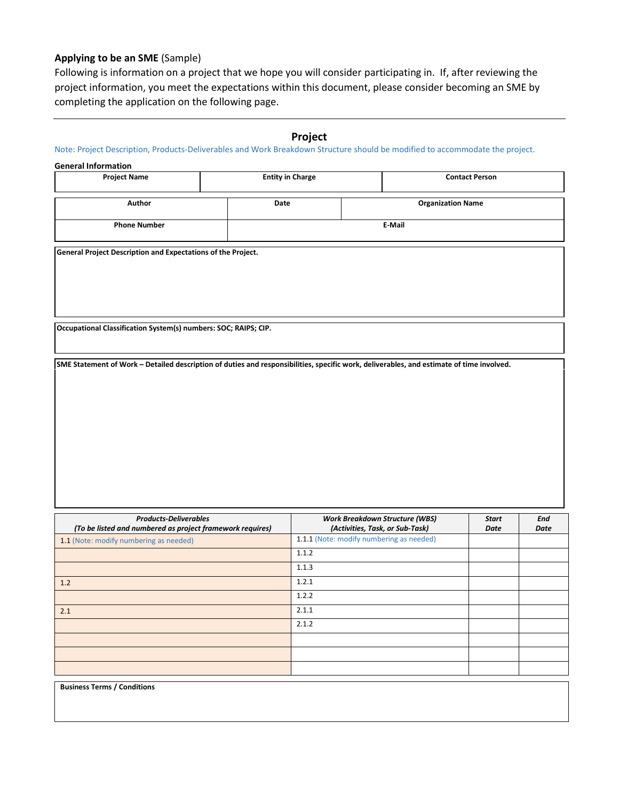### **Applying to be an SME** (Sample)

Following is information on a project that we hope you will consider participating in. If, after reviewing the project information, you meet the expectations within this document, please consider becoming an SME by completing the application on the following page.

### **Project**

Note: Project Description, Products-Deliverables and Work Breakdown Structure should be modified to accommodate the project.

#### **General Information**

| <b>Project Name</b> | <b>Entity in Charge</b> |                          | <b>Contact Person</b> |  |
|---------------------|-------------------------|--------------------------|-----------------------|--|
| Author              | Date                    | <b>Organization Name</b> |                       |  |
| <b>Phone Number</b> |                         | E-Mail                   |                       |  |

**General Project Description and Expectations of the Project.**

**Occupational Classification System(s) numbers: SOC; RAIPS; CIP.**

**SME Statement of Work – Detailed description of duties and responsibilities, specific work, deliverables, and estimate of time involved.**

| <b>Products-Deliverables</b><br>(To be listed and numbered as project framework requires) | <b>Work Breakdown Structure (WBS)</b><br>(Activities, Task, or Sub-Task) | <b>Start</b><br>Date | <b>End</b><br>Date |
|-------------------------------------------------------------------------------------------|--------------------------------------------------------------------------|----------------------|--------------------|
| 1.1 (Note: modify numbering as needed)                                                    | 1.1.1 (Note: modify numbering as needed)                                 |                      |                    |
|                                                                                           | 1.1.2                                                                    |                      |                    |
|                                                                                           | 1.1.3                                                                    |                      |                    |
| 1.2                                                                                       | 1.2.1                                                                    |                      |                    |
|                                                                                           | 1.2.2                                                                    |                      |                    |
| 2.1                                                                                       | 2.1.1                                                                    |                      |                    |
|                                                                                           | 2.1.2                                                                    |                      |                    |
|                                                                                           |                                                                          |                      |                    |
|                                                                                           |                                                                          |                      |                    |
|                                                                                           |                                                                          |                      |                    |

**Business Terms / Conditions**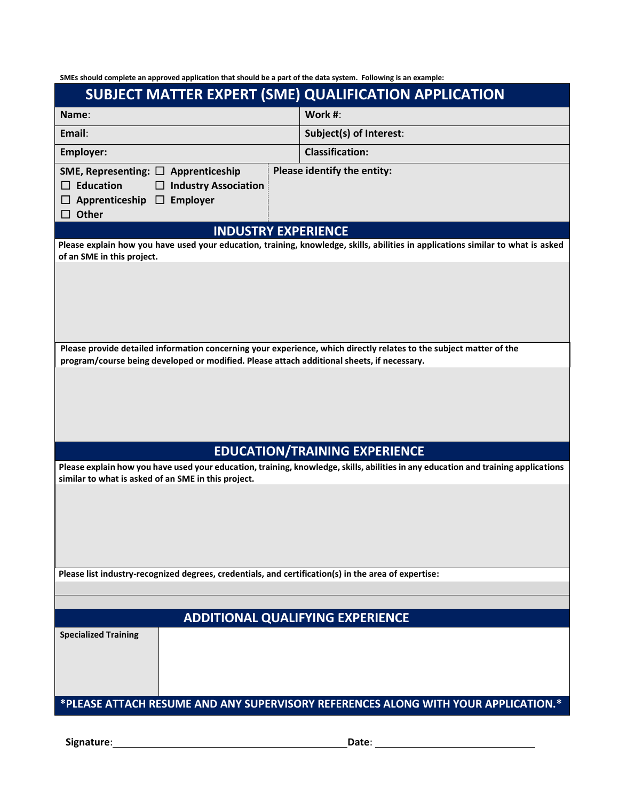**SMEs should complete an approved application that should be a part of the data system. Following is an example:**

|                                                                                                                                                                                                                   |  | SUBJECT MATTER EXPERT (SME) QUALIFICATION APPLICATION                                                                              |  |  |
|-------------------------------------------------------------------------------------------------------------------------------------------------------------------------------------------------------------------|--|------------------------------------------------------------------------------------------------------------------------------------|--|--|
| Name:                                                                                                                                                                                                             |  | Work #:                                                                                                                            |  |  |
| Email:                                                                                                                                                                                                            |  | Subject(s) of Interest:                                                                                                            |  |  |
| Employer:                                                                                                                                                                                                         |  | <b>Classification:</b>                                                                                                             |  |  |
| SME, Representing: $\Box$ Apprenticeship<br>$\Box$ Education<br>$\Box$ Industry Association<br>Employer<br>$\Box$ Apprenticeship $\Box$<br>$\Box$ Other                                                           |  | Please identify the entity:                                                                                                        |  |  |
| <b>INDUSTRY EXPERIENCE</b>                                                                                                                                                                                        |  |                                                                                                                                    |  |  |
| of an SME in this project.                                                                                                                                                                                        |  | Please explain how you have used your education, training, knowledge, skills, abilities in applications similar to what is asked   |  |  |
| Please provide detailed information concerning your experience, which directly relates to the subject matter of the<br>program/course being developed or modified. Please attach additional sheets, if necessary. |  |                                                                                                                                    |  |  |
|                                                                                                                                                                                                                   |  |                                                                                                                                    |  |  |
|                                                                                                                                                                                                                   |  | <b>EDUCATION/TRAINING EXPERIENCE</b>                                                                                               |  |  |
| similar to what is asked of an SME in this project.                                                                                                                                                               |  | Please explain how you have used your education, training, knowledge, skills, abilities in any education and training applications |  |  |
|                                                                                                                                                                                                                   |  |                                                                                                                                    |  |  |
| Please list industry-recognized degrees, credentials, and certification(s) in the area of expertise:                                                                                                              |  |                                                                                                                                    |  |  |
|                                                                                                                                                                                                                   |  |                                                                                                                                    |  |  |
| <b>ADDITIONAL QUALIFYING EXPERIENCE</b>                                                                                                                                                                           |  |                                                                                                                                    |  |  |
| <b>Specialized Training</b>                                                                                                                                                                                       |  |                                                                                                                                    |  |  |
| *PLEASE ATTACH RESUME AND ANY SUPERVISORY REFERENCES ALONG WITH YOUR APPLICATION.*                                                                                                                                |  |                                                                                                                                    |  |  |